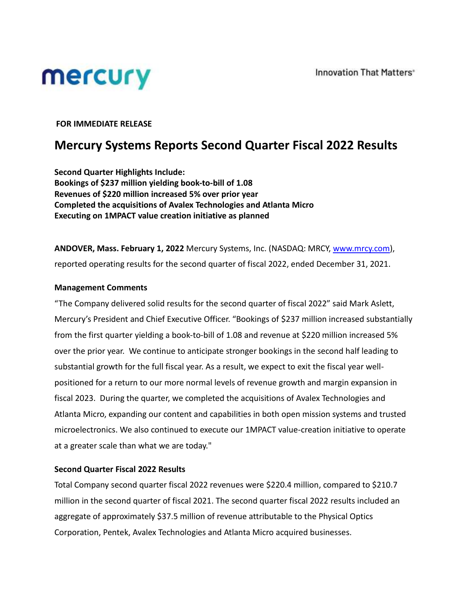

## **FOR IMMEDIATE RELEASE**

# **Mercury Systems Reports Second Quarter Fiscal 2022 Results**

**Second Quarter Highlights Include: Bookings of \$237 million yielding book-to-bill of 1.08 Revenues of \$220 million increased 5% over prior year Completed the acquisitions of Avalex Technologies and Atlanta Micro Executing on 1MPACT value creation initiative as planned**

**ANDOVER, Mass. February 1, 2022** Mercury Systems, Inc. (NASDAQ: MRCY, [www.mrcy.com\)](https://www.mrcy.com/), reported operating results for the second quarter of fiscal 2022, ended December 31, 2021.

## **Management Comments**

"The Company delivered solid results for the second quarter of fiscal 2022" said Mark Aslett, Mercury's President and Chief Executive Officer. "Bookings of \$237 million increased substantially from the first quarter yielding a book-to-bill of 1.08 and revenue at \$220 million increased 5% over the prior year. We continue to anticipate stronger bookings in the second half leading to substantial growth for the full fiscal year. As a result, we expect to exit the fiscal year wellpositioned for a return to our more normal levels of revenue growth and margin expansion in fiscal 2023. During the quarter, we completed the acquisitions of Avalex Technologies and Atlanta Micro, expanding our content and capabilities in both open mission systems and trusted microelectronics. We also continued to execute our 1MPACT value-creation initiative to operate at a greater scale than what we are today."

## **Second Quarter Fiscal 2022 Results**

Total Company second quarter fiscal 2022 revenues were \$220.4 million, compared to \$210.7 million in the second quarter of fiscal 2021. The second quarter fiscal 2022 results included an aggregate of approximately \$37.5 million of revenue attributable to the Physical Optics Corporation, Pentek, Avalex Technologies and Atlanta Micro acquired businesses.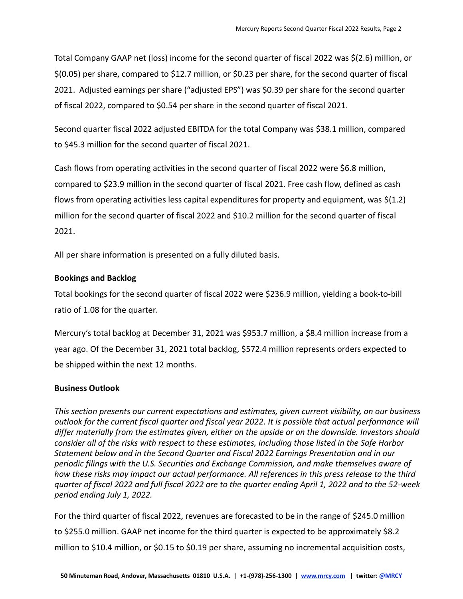Total Company GAAP net (loss) income for the second quarter of fiscal 2022 was \$(2.6) million, or \$(0.05) per share, compared to \$12.7 million, or \$0.23 per share, for the second quarter of fiscal 2021. Adjusted earnings per share ("adjusted EPS") was \$0.39 per share for the second quarter of fiscal 2022, compared to \$0.54 per share in the second quarter of fiscal 2021.

Second quarter fiscal 2022 adjusted EBITDA for the total Company was \$38.1 million, compared to \$45.3 million for the second quarter of fiscal 2021.

Cash flows from operating activities in the second quarter of fiscal 2022 were \$6.8 million, compared to \$23.9 million in the second quarter of fiscal 2021. Free cash flow, defined as cash flows from operating activities less capital expenditures for property and equipment, was  $\zeta(1.2)$ million for the second quarter of fiscal 2022 and \$10.2 million for the second quarter of fiscal 2021.

All per share information is presented on a fully diluted basis.

## **Bookings and Backlog**

Total bookings for the second quarter of fiscal 2022 were \$236.9 million, yielding a book-to-bill ratio of 1.08 for the quarter.

Mercury's total backlog at December 31, 2021 was \$953.7 million, a \$8.4 million increase from a year ago. Of the December 31, 2021 total backlog, \$572.4 million represents orders expected to be shipped within the next 12 months.

#### **Business Outlook**

*This section presents our current expectations and estimates, given current visibility, on our business outlook for the current fiscal quarter and fiscal year 2022. It is possible that actual performance will differ materially from the estimates given, either on the upside or on the downside. Investors should consider all of the risks with respect to these estimates, including those listed in the Safe Harbor Statement below and in the Second Quarter and Fiscal 2022 Earnings Presentation and in our periodic filings with the U.S. Securities and Exchange Commission, and make themselves aware of how these risks may impact our actual performance. All references in this press release to the third quarter of fiscal 2022 and full fiscal 2022 are to the quarter ending April 1, 2022 and to the 52-week period ending July 1, 2022.*

For the third quarter of fiscal 2022, revenues are forecasted to be in the range of \$245.0 million to \$255.0 million. GAAP net income for the third quarter is expected to be approximately \$8.2 million to \$10.4 million, or \$0.15 to \$0.19 per share, assuming no incremental acquisition costs,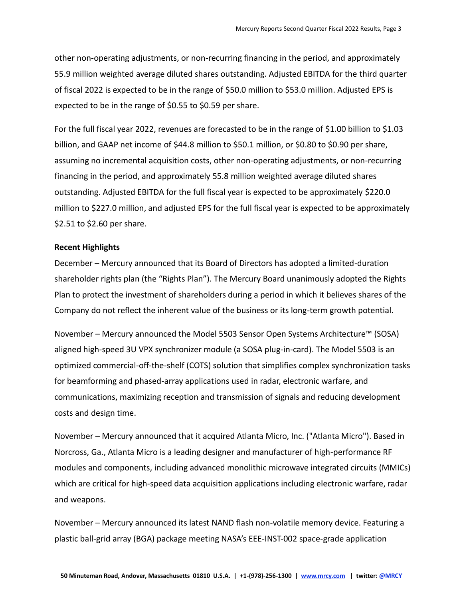other non-operating adjustments, or non-recurring financing in the period, and approximately 55.9 million weighted average diluted shares outstanding. Adjusted EBITDA for the third quarter of fiscal 2022 is expected to be in the range of \$50.0 million to \$53.0 million. Adjusted EPS is expected to be in the range of \$0.55 to \$0.59 per share.

For the full fiscal year 2022, revenues are forecasted to be in the range of \$1.00 billion to \$1.03 billion, and GAAP net income of \$44.8 million to \$50.1 million, or \$0.80 to \$0.90 per share, assuming no incremental acquisition costs, other non-operating adjustments, or non-recurring financing in the period, and approximately 55.8 million weighted average diluted shares outstanding. Adjusted EBITDA for the full fiscal year is expected to be approximately \$220.0 million to \$227.0 million, and adjusted EPS for the full fiscal year is expected to be approximately \$2.51 to \$2.60 per share.

#### **Recent Highlights**

December – Mercury announced that its Board of Directors has adopted a limited-duration shareholder rights plan (the "Rights Plan"). The Mercury Board unanimously adopted the Rights Plan to protect the investment of shareholders during a period in which it believes shares of the Company do not reflect the inherent value of the business or its long-term growth potential.

November – Mercury announced the Model 5503 Sensor Open Systems Architecture™ (SOSA) aligned high-speed 3U VPX synchronizer module (a SOSA plug-in-card). The Model 5503 is an optimized commercial-off-the-shelf (COTS) solution that simplifies complex synchronization tasks for beamforming and phased-array applications used in radar, electronic warfare, and communications, maximizing reception and transmission of signals and reducing development costs and design time.

November – Mercury announced that it acquired Atlanta Micro, Inc. ("Atlanta Micro"). Based in Norcross, Ga., Atlanta Micro is a leading designer and manufacturer of high-performance RF modules and components, including advanced monolithic microwave integrated circuits (MMICs) which are critical for high-speed data acquisition applications including electronic warfare, radar and weapons.

November – Mercury announced its latest NAND flash non-volatile memory device. Featuring a plastic ball-grid array (BGA) package meeting NASA's EEE-INST-002 space-grade application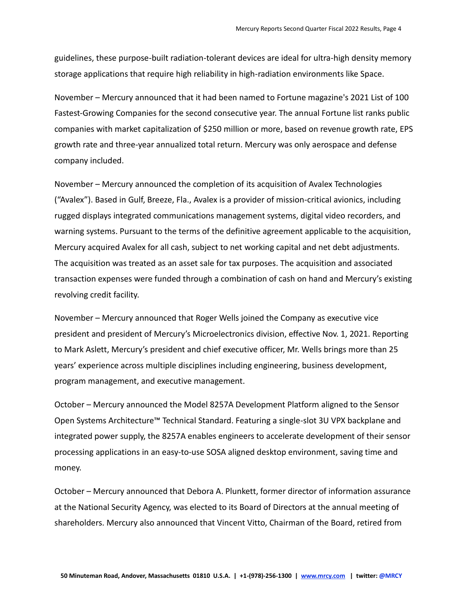guidelines, these purpose-built radiation-tolerant devices are ideal for ultra-high density memory storage applications that require high reliability in high-radiation environments like Space.

November – Mercury announced that it had been named to Fortune magazine's 2021 List of 100 Fastest-Growing Companies for the second consecutive year. The annual Fortune list ranks public companies with market capitalization of \$250 million or more, based on revenue growth rate, EPS growth rate and three-year annualized total return. Mercury was only aerospace and defense company included.

November – Mercury announced the completion of its acquisition of Avalex Technologies ("Avalex"). Based in Gulf, Breeze, Fla., Avalex is a provider of mission-critical avionics, including rugged displays integrated communications management systems, digital video recorders, and warning systems. Pursuant to the terms of the definitive agreement applicable to the acquisition, Mercury acquired Avalex for all cash, subject to net working capital and net debt adjustments. The acquisition was treated as an asset sale for tax purposes. The acquisition and associated transaction expenses were funded through a combination of cash on hand and Mercury's existing revolving credit facility.

November – Mercury announced that Roger Wells joined the Company as executive vice president and president of Mercury's Microelectronics division, effective Nov. 1, 2021. Reporting to Mark Aslett, Mercury's president and chief executive officer, Mr. Wells brings more than 25 years' experience across multiple disciplines including engineering, business development, program management, and executive management.

October – Mercury announced the Model 8257A Development Platform aligned to the Sensor Open Systems Architecture™ Technical Standard. Featuring a single-slot 3U VPX backplane and integrated power supply, the 8257A enables engineers to accelerate development of their sensor processing applications in an easy-to-use SOSA aligned desktop environment, saving time and money.

October – Mercury announced that Debora A. Plunkett, former director of information assurance at the National Security Agency, was elected to its Board of Directors at the annual meeting of shareholders. Mercury also announced that Vincent Vitto, Chairman of the Board, retired from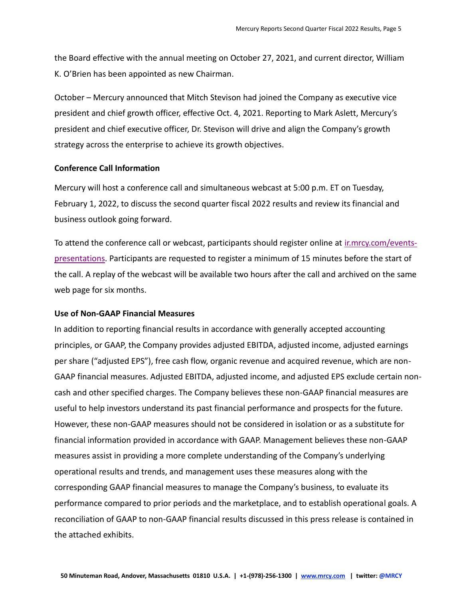the Board effective with the annual meeting on October 27, 2021, and current director, William K. O'Brien has been appointed as new Chairman.

October – Mercury announced that Mitch Stevison had joined the Company as executive vice president and chief growth officer, effective Oct. 4, 2021. Reporting to Mark Aslett, Mercury's president and chief executive officer, Dr. Stevison will drive and align the Company's growth strategy across the enterprise to achieve its growth objectives.

#### **Conference Call Information**

Mercury will host a conference call and simultaneous webcast at 5:00 p.m. ET on Tuesday, February 1, 2022, to discuss the second quarter fiscal 2022 results and review its financial and business outlook going forward.

To attend the conference call or webcast, participants should register online at [ir.mrcy.com/events](https://ir.mrcy.com/events-presentations)[presentations.](https://ir.mrcy.com/events-presentations) Participants are requested to register a minimum of 15 minutes before the start of the call. A replay of the webcast will be available two hours after the call and archived on the same web page for six months.

#### **Use of Non-GAAP Financial Measures**

In addition to reporting financial results in accordance with generally accepted accounting principles, or GAAP, the Company provides adjusted EBITDA, adjusted income, adjusted earnings per share ("adjusted EPS"), free cash flow, organic revenue and acquired revenue, which are non-GAAP financial measures. Adjusted EBITDA, adjusted income, and adjusted EPS exclude certain noncash and other specified charges. The Company believes these non-GAAP financial measures are useful to help investors understand its past financial performance and prospects for the future. However, these non-GAAP measures should not be considered in isolation or as a substitute for financial information provided in accordance with GAAP. Management believes these non-GAAP measures assist in providing a more complete understanding of the Company's underlying operational results and trends, and management uses these measures along with the corresponding GAAP financial measures to manage the Company's business, to evaluate its performance compared to prior periods and the marketplace, and to establish operational goals. A reconciliation of GAAP to non-GAAP financial results discussed in this press release is contained in the attached exhibits.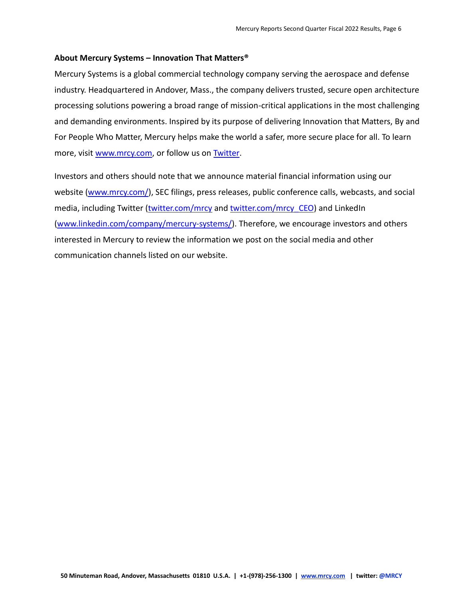#### **About Mercury Systems – Innovation That Matters®**

Mercury Systems is a global commercial technology company serving the aerospace and defense industry. Headquartered in Andover, Mass., the company delivers trusted, secure open architecture processing solutions powering a broad range of mission-critical applications in the most challenging and demanding environments. Inspired by its purpose of delivering Innovation that Matters, By and For People Who Matter, Mercury helps make the world a safer, more secure place for all. To learn more, visit [www.mrcy.com,](https://www.mrcy.com/) or follow us on [Twitter.](https://twitter.com/mrcy)

Investors and others should note that we announce material financial information using our website [\(www.mrcy.com/\)](https://www.mrcy.com/), SEC filings, press releases, public conference calls, webcasts, and social media, including Twitter [\(twitter.com/mrcy](https://twitter.com/mrcy) and [twitter.com/mrcy\\_CEO\)](https://twitter.com/mrcy_CEO) and LinkedIn [\(www.linkedin.com/company/mercury-systems/\)](https://www.linkedin.com/company/mercury-systems/). Therefore, we encourage investors and others interested in Mercury to review the information we post on the social media and other communication channels listed on our website.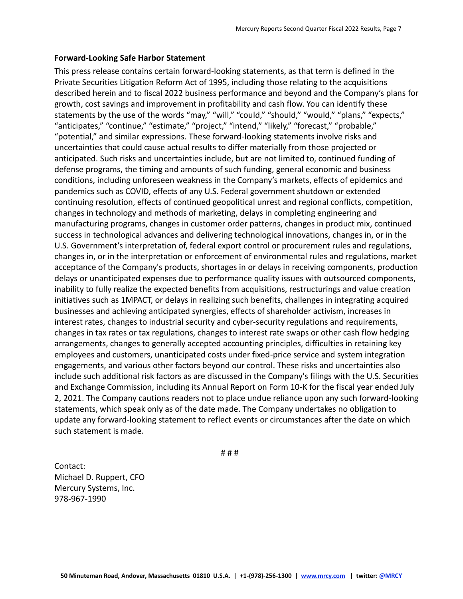## **Forward-Looking Safe Harbor Statement**

This press release contains certain forward-looking statements, as that term is defined in the Private Securities Litigation Reform Act of 1995, including those relating to the acquisitions described herein and to fiscal 2022 business performance and beyond and the Company's plans for growth, cost savings and improvement in profitability and cash flow. You can identify these statements by the use of the words "may," "will," "could," "should," "would," "plans," "expects," "anticipates," "continue," "estimate," "project," "intend," "likely," "forecast," "probable," "potential," and similar expressions. These forward-looking statements involve risks and uncertainties that could cause actual results to differ materially from those projected or anticipated. Such risks and uncertainties include, but are not limited to, continued funding of defense programs, the timing and amounts of such funding, general economic and business conditions, including unforeseen weakness in the Company's markets, effects of epidemics and pandemics such as COVID, effects of any U.S. Federal government shutdown or extended continuing resolution, effects of continued geopolitical unrest and regional conflicts, competition, changes in technology and methods of marketing, delays in completing engineering and manufacturing programs, changes in customer order patterns, changes in product mix, continued success in technological advances and delivering technological innovations, changes in, or in the U.S. Government's interpretation of, federal export control or procurement rules and regulations, changes in, or in the interpretation or enforcement of environmental rules and regulations, market acceptance of the Company's products, shortages in or delays in receiving components, production delays or unanticipated expenses due to performance quality issues with outsourced components, inability to fully realize the expected benefits from acquisitions, restructurings and value creation initiatives such as 1MPACT, or delays in realizing such benefits, challenges in integrating acquired businesses and achieving anticipated synergies, effects of shareholder activism, increases in interest rates, changes to industrial security and cyber-security regulations and requirements, changes in tax rates or tax regulations, changes to interest rate swaps or other cash flow hedging arrangements, changes to generally accepted accounting principles, difficulties in retaining key employees and customers, unanticipated costs under fixed-price service and system integration engagements, and various other factors beyond our control. These risks and uncertainties also include such additional risk factors as are discussed in the Company's filings with the U.S. Securities and Exchange Commission, including its Annual Report on Form 10-K for the fiscal year ended July 2, 2021. The Company cautions readers not to place undue reliance upon any such forward-looking statements, which speak only as of the date made. The Company undertakes no obligation to update any forward-looking statement to reflect events or circumstances after the date on which such statement is made.

# # #

Contact: Michael D. Ruppert, CFO Mercury Systems, Inc. 978-967-1990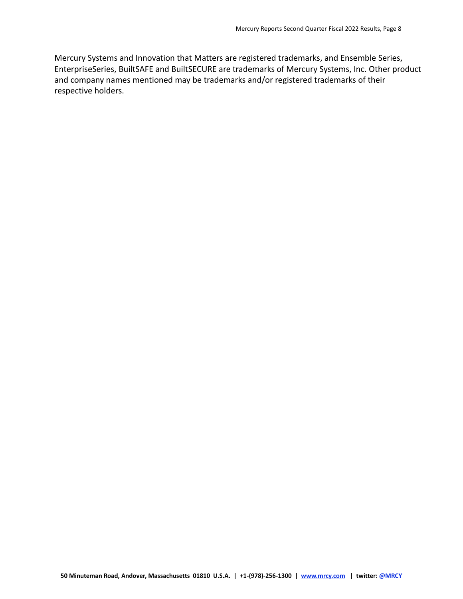Mercury Systems and Innovation that Matters are registered trademarks, and Ensemble Series, EnterpriseSeries, BuiltSAFE and BuiltSECURE are trademarks of Mercury Systems, Inc. Other product and company names mentioned may be trademarks and/or registered trademarks of their respective holders.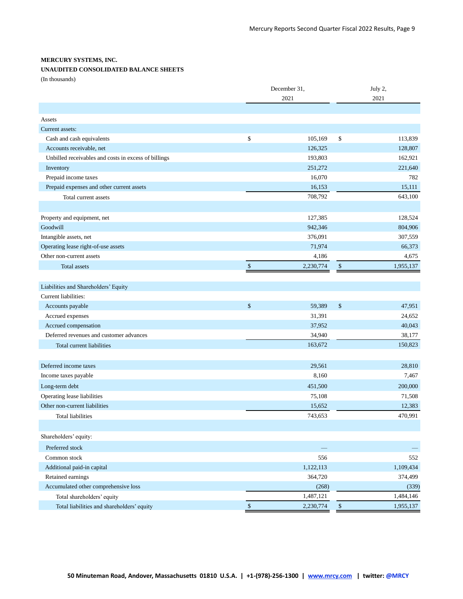#### **MERCURY SYSTEMS, INC.**

#### **UNAUDITED CONSOLIDATED BALANCE SHEETS**

(In thousands)

|                                                      |      | December 31, | July 2,      |           |  |  |  |  |
|------------------------------------------------------|------|--------------|--------------|-----------|--|--|--|--|
|                                                      |      | 2021         | 2021         |           |  |  |  |  |
|                                                      |      |              |              |           |  |  |  |  |
| Assets                                               |      |              |              |           |  |  |  |  |
| Current assets:                                      |      |              |              |           |  |  |  |  |
| Cash and cash equivalents                            | \$   | 105,169      | \$           | 113,839   |  |  |  |  |
| Accounts receivable, net                             |      | 126,325      |              | 128,807   |  |  |  |  |
| Unbilled receivables and costs in excess of billings |      | 193,803      |              | 162,921   |  |  |  |  |
| Inventory                                            |      | 251,272      |              | 221,640   |  |  |  |  |
| Prepaid income taxes                                 |      | 16,070       |              | 782       |  |  |  |  |
| Prepaid expenses and other current assets            |      | 16,153       |              | 15,111    |  |  |  |  |
| Total current assets                                 |      | 708,792      |              | 643,100   |  |  |  |  |
|                                                      |      |              |              |           |  |  |  |  |
| Property and equipment, net                          |      | 127,385      |              | 128,524   |  |  |  |  |
| Goodwill                                             |      | 942,346      |              | 804,906   |  |  |  |  |
| Intangible assets, net                               |      | 376,091      |              | 307,559   |  |  |  |  |
| Operating lease right-of-use assets                  |      | 71,974       |              | 66,373    |  |  |  |  |
| Other non-current assets                             |      | 4,186        |              | 4,675     |  |  |  |  |
| <b>Total</b> assets                                  | \$   | 2,230,774    | \$           | 1,955,137 |  |  |  |  |
|                                                      |      |              |              |           |  |  |  |  |
| Liabilities and Shareholders' Equity                 |      |              |              |           |  |  |  |  |
| Current liabilities:                                 |      |              |              |           |  |  |  |  |
| Accounts payable                                     | \$   | 59,389       | \$           | 47,951    |  |  |  |  |
| Accrued expenses                                     |      | 31,391       |              | 24,652    |  |  |  |  |
| Accrued compensation                                 |      | 37,952       |              | 40,043    |  |  |  |  |
| Deferred revenues and customer advances              |      | 34,940       |              | 38,177    |  |  |  |  |
| Total current liabilities                            |      | 163,672      |              | 150,823   |  |  |  |  |
|                                                      |      |              |              |           |  |  |  |  |
| Deferred income taxes                                |      | 29,561       |              | 28,810    |  |  |  |  |
| Income taxes payable                                 |      | 8,160        |              | 7,467     |  |  |  |  |
| Long-term debt                                       |      | 451,500      |              | 200,000   |  |  |  |  |
| Operating lease liabilities                          |      | 75,108       |              | 71,508    |  |  |  |  |
| Other non-current liabilities                        |      | 15,652       |              | 12,383    |  |  |  |  |
|                                                      |      | 743,653      |              | 470,991   |  |  |  |  |
| <b>Total liabilities</b>                             |      |              |              |           |  |  |  |  |
|                                                      |      |              |              |           |  |  |  |  |
| Shareholders' equity:                                |      |              |              |           |  |  |  |  |
| Preferred stock                                      |      |              |              |           |  |  |  |  |
| Common stock                                         |      | 556          |              | 552       |  |  |  |  |
| Additional paid-in capital                           |      | 1,122,113    |              | 1,109,434 |  |  |  |  |
| Retained earnings                                    |      | 364,720      |              | 374,499   |  |  |  |  |
| Accumulated other comprehensive loss                 |      | (268)        |              | (339)     |  |  |  |  |
| Total shareholders' equity                           |      | 1,487,121    |              | 1,484,146 |  |  |  |  |
| Total liabilities and shareholders' equity           | $\$$ | 2,230,774    | $\mathbb{S}$ | 1,955,137 |  |  |  |  |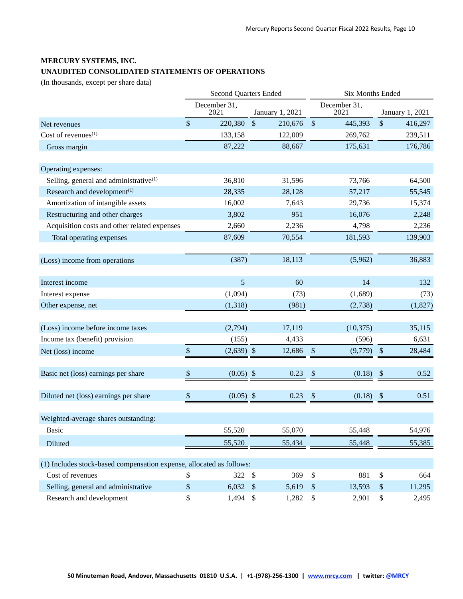## **MERCURY SYSTEMS, INC. UNAUDITED CONSOLIDATED STATEMENTS OF OPERATIONS**

(In thousands, except per share data)

|                                                                      |                   | <b>Second Quarters Ended</b> |         |                 | Six Months Ended          |                      |                            |                 |  |  |  |
|----------------------------------------------------------------------|-------------------|------------------------------|---------|-----------------|---------------------------|----------------------|----------------------------|-----------------|--|--|--|
|                                                                      |                   | December 31,<br>2021         |         | January 1, 2021 |                           | December 31,<br>2021 |                            | January 1, 2021 |  |  |  |
| Net revenues                                                         | \$                | 220,380                      | $\sqrt$ | 210,676         | $\mathcal{S}$             | 445,393              | $\sqrt$                    | 416,297         |  |  |  |
| Cost of revenues $(1)$                                               |                   | 133,158                      |         | 122,009         |                           | 269,762              |                            | 239,511         |  |  |  |
| Gross margin                                                         |                   | 87,222                       |         | 88,667          |                           | 175,631              |                            | 176,786         |  |  |  |
| Operating expenses:                                                  |                   |                              |         |                 |                           |                      |                            |                 |  |  |  |
| Selling, general and administrative <sup>(1)</sup>                   |                   | 36,810                       |         | 31,596          |                           | 73,766               |                            | 64,500          |  |  |  |
| Research and development <sup>(1)</sup>                              |                   | 28,335                       |         | 28,128          |                           | 57,217               |                            | 55,545          |  |  |  |
| Amortization of intangible assets                                    |                   | 16,002                       |         | 7,643           |                           | 29,736               |                            | 15,374          |  |  |  |
| Restructuring and other charges                                      |                   | 3,802                        |         | 951             |                           | 16,076               |                            | 2,248           |  |  |  |
| Acquisition costs and other related expenses                         |                   | 2,660                        |         | 2,236           |                           | 4,798                |                            | 2,236           |  |  |  |
| Total operating expenses                                             |                   | 87,609                       |         | 70,554          |                           | 181,593              |                            | 139,903         |  |  |  |
| (Loss) income from operations                                        |                   | (387)                        |         | 18,113          |                           | (5,962)              |                            | 36,883          |  |  |  |
| Interest income                                                      |                   | 5                            |         | 60              |                           | 14                   |                            | 132             |  |  |  |
| Interest expense                                                     |                   | (1,094)                      |         | (73)            |                           | (1,689)              |                            | (73)            |  |  |  |
| Other expense, net                                                   |                   | (1,318)                      |         | (981)           |                           | (2,738)              |                            | (1,827)         |  |  |  |
| (Loss) income before income taxes                                    |                   | (2,794)                      |         | 17,119          |                           | (10, 375)            |                            | 35,115          |  |  |  |
| Income tax (benefit) provision                                       |                   | (155)                        |         | 4,433           |                           | (596)                |                            | 6,631           |  |  |  |
| Net (loss) income                                                    | $\mathbb{S}$      | $(2,639)$ \$                 |         | 12,686          | $\$\,$                    | (9,779)              | $\boldsymbol{\mathsf{S}}$  | 28,484          |  |  |  |
| Basic net (loss) earnings per share                                  | $\boldsymbol{\$}$ | $(0.05)$ \$                  |         | 0.23            | \$                        | (0.18)               | $\boldsymbol{\mathsf{\$}}$ | 0.52            |  |  |  |
| Diluted net (loss) earnings per share                                | \$                | $(0.05)$ \$                  |         | 0.23            | $\boldsymbol{\mathsf{S}}$ | (0.18)               | $\boldsymbol{\mathsf{S}}$  | 0.51            |  |  |  |
| Weighted-average shares outstanding:                                 |                   |                              |         |                 |                           |                      |                            |                 |  |  |  |
| Basic                                                                |                   | 55,520                       |         | 55,070          |                           | 55,448               |                            | 54,976          |  |  |  |
| Diluted                                                              |                   | 55,520                       |         | 55,434          |                           | 55,448               |                            | 55,385          |  |  |  |
| (1) Includes stock-based compensation expense, allocated as follows: |                   |                              |         |                 |                           |                      |                            |                 |  |  |  |
| Cost of revenues                                                     | \$                | 322 \$                       |         | 369             | \$                        | 881                  | \$                         | 664             |  |  |  |
| Selling, general and administrative                                  | \$                | $6,032$ \$                   |         | 5,619           | $\mathbb{S}$              | 13,593               | $\$\,$                     | 11,295          |  |  |  |
| Research and development                                             | \$                | 1,494 \$                     |         | 1,282           | \$                        | 2,901                | \$                         | 2,495           |  |  |  |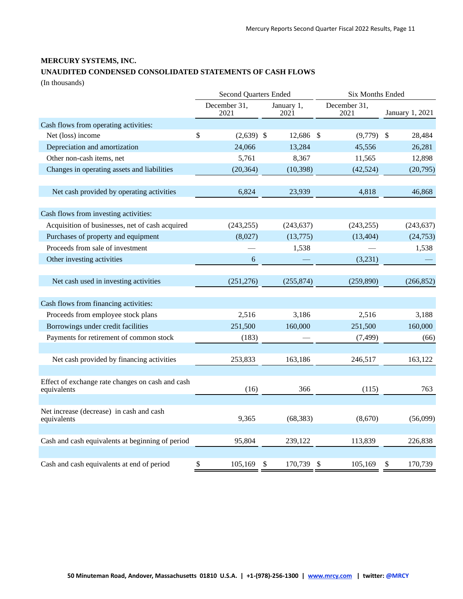## **MERCURY SYSTEMS, INC. UNAUDITED CONDENSED CONSOLIDATED STATEMENTS OF CASH FLOWS**

(In thousands)

|                                                                 | <b>Second Quarters Ended</b> |                    | <b>Six Months Ended</b> |                      |    |                 |  |  |
|-----------------------------------------------------------------|------------------------------|--------------------|-------------------------|----------------------|----|-----------------|--|--|
|                                                                 | December 31,<br>2021         | January 1,<br>2021 |                         | December 31,<br>2021 |    | January 1, 2021 |  |  |
| Cash flows from operating activities:                           |                              |                    |                         |                      |    |                 |  |  |
| Net (loss) income                                               | \$<br>$(2,639)$ \$           | 12,686 \$          |                         | (9,779)              | \$ | 28,484          |  |  |
| Depreciation and amortization                                   | 24,066                       | 13,284             |                         | 45,556               |    | 26,281          |  |  |
| Other non-cash items, net                                       | 5,761                        | 8,367              |                         | 11,565               |    | 12,898          |  |  |
| Changes in operating assets and liabilities                     | (20, 364)                    | (10, 398)          |                         | (42, 524)            |    | (20,795)        |  |  |
| Net cash provided by operating activities                       | 6,824                        | 23,939             |                         | 4,818                |    | 46,868          |  |  |
| Cash flows from investing activities:                           |                              |                    |                         |                      |    |                 |  |  |
| Acquisition of businesses, net of cash acquired                 | (243, 255)                   | (243, 637)         |                         | (243, 255)           |    | (243, 637)      |  |  |
| Purchases of property and equipment                             | (8,027)                      | (13,775)           |                         | (13, 404)            |    | (24, 753)       |  |  |
| Proceeds from sale of investment                                |                              | 1,538              |                         |                      |    | 1,538           |  |  |
| Other investing activities                                      | 6                            |                    |                         | (3,231)              |    |                 |  |  |
| Net cash used in investing activities                           | (251, 276)                   | (255, 874)         |                         | (259, 890)           |    | (266, 852)      |  |  |
| Cash flows from financing activities:                           |                              |                    |                         |                      |    |                 |  |  |
| Proceeds from employee stock plans                              | 2,516                        | 3,186              |                         | 2,516                |    | 3,188           |  |  |
| Borrowings under credit facilities                              | 251,500                      | 160,000            |                         | 251,500              |    | 160,000         |  |  |
| Payments for retirement of common stock                         | (183)                        |                    |                         | (7, 499)             |    | (66)            |  |  |
| Net cash provided by financing activities                       | 253,833                      | 163,186            |                         | 246,517              |    | 163,122         |  |  |
| Effect of exchange rate changes on cash and cash<br>equivalents | (16)                         | 366                |                         | (115)                |    | 763             |  |  |
| Net increase (decrease) in cash and cash<br>equivalents         | 9,365                        | (68, 383)          |                         | (8,670)              |    | (56,099)        |  |  |
| Cash and cash equivalents at beginning of period                | 95,804                       | 239,122            |                         | 113,839              |    | 226,838         |  |  |
| Cash and cash equivalents at end of period                      | \$<br>105,169                | \$<br>170,739      | S                       | 105,169              | \$ | 170,739         |  |  |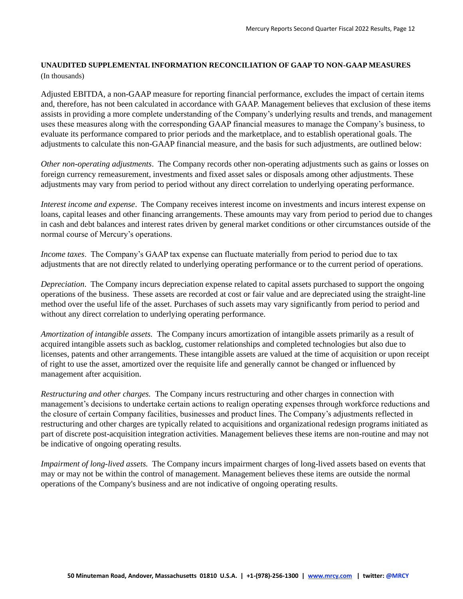#### **UNAUDITED SUPPLEMENTAL INFORMATION RECONCILIATION OF GAAP TO NON-GAAP MEASURES** (In thousands)

Adjusted EBITDA, a non-GAAP measure for reporting financial performance, excludes the impact of certain items and, therefore, has not been calculated in accordance with GAAP. Management believes that exclusion of these items assists in providing a more complete understanding of the Company's underlying results and trends, and management uses these measures along with the corresponding GAAP financial measures to manage the Company's business, to evaluate its performance compared to prior periods and the marketplace, and to establish operational goals. The adjustments to calculate this non-GAAP financial measure, and the basis for such adjustments, are outlined below:

*Other non-operating adjustments*. The Company records other non-operating adjustments such as gains or losses on foreign currency remeasurement, investments and fixed asset sales or disposals among other adjustments. These adjustments may vary from period to period without any direct correlation to underlying operating performance.

*Interest income and expense*. The Company receives interest income on investments and incurs interest expense on loans, capital leases and other financing arrangements. These amounts may vary from period to period due to changes in cash and debt balances and interest rates driven by general market conditions or other circumstances outside of the normal course of Mercury's operations.

*Income taxes*. The Company's GAAP tax expense can fluctuate materially from period to period due to tax adjustments that are not directly related to underlying operating performance or to the current period of operations.

*Depreciation*. The Company incurs depreciation expense related to capital assets purchased to support the ongoing operations of the business. These assets are recorded at cost or fair value and are depreciated using the straight-line method over the useful life of the asset. Purchases of such assets may vary significantly from period to period and without any direct correlation to underlying operating performance.

*Amortization of intangible assets.* The Company incurs amortization of intangible assets primarily as a result of acquired intangible assets such as backlog, customer relationships and completed technologies but also due to licenses, patents and other arrangements. These intangible assets are valued at the time of acquisition or upon receipt of right to use the asset, amortized over the requisite life and generally cannot be changed or influenced by management after acquisition.

*Restructuring and other charges.* The Company incurs restructuring and other charges in connection with management's decisions to undertake certain actions to realign operating expenses through workforce reductions and the closure of certain Company facilities, businesses and product lines. The Company's adjustments reflected in restructuring and other charges are typically related to acquisitions and organizational redesign programs initiated as part of discrete post-acquisition integration activities. Management believes these items are non-routine and may not be indicative of ongoing operating results.

*Impairment of long-lived assets.* The Company incurs impairment charges of long-lived assets based on events that may or may not be within the control of management. Management believes these items are outside the normal operations of the Company's business and are not indicative of ongoing operating results.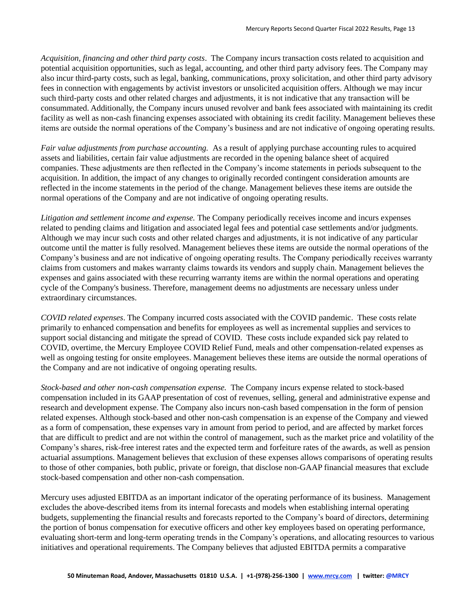*Acquisition, financing and other third party costs*. The Company incurs transaction costs related to acquisition and potential acquisition opportunities, such as legal, accounting, and other third party advisory fees. The Company may also incur third-party costs, such as legal, banking, communications, proxy solicitation, and other third party advisory fees in connection with engagements by activist investors or unsolicited acquisition offers. Although we may incur such third-party costs and other related charges and adjustments, it is not indicative that any transaction will be consummated. Additionally, the Company incurs unused revolver and bank fees associated with maintaining its credit facility as well as non-cash financing expenses associated with obtaining its credit facility. Management believes these items are outside the normal operations of the Company's business and are not indicative of ongoing operating results.

*Fair value adjustments from purchase accounting.* As a result of applying purchase accounting rules to acquired assets and liabilities, certain fair value adjustments are recorded in the opening balance sheet of acquired companies. These adjustments are then reflected in the Company's income statements in periods subsequent to the acquisition. In addition, the impact of any changes to originally recorded contingent consideration amounts are reflected in the income statements in the period of the change. Management believes these items are outside the normal operations of the Company and are not indicative of ongoing operating results.

*Litigation and settlement income and expense.* The Company periodically receives income and incurs expenses related to pending claims and litigation and associated legal fees and potential case settlements and/or judgments. Although we may incur such costs and other related charges and adjustments, it is not indicative of any particular outcome until the matter is fully resolved. Management believes these items are outside the normal operations of the Company's business and are not indicative of ongoing operating results. The Company periodically receives warranty claims from customers and makes warranty claims towards its vendors and supply chain. Management believes the expenses and gains associated with these recurring warranty items are within the normal operations and operating cycle of the Company's business. Therefore, management deems no adjustments are necessary unless under extraordinary circumstances.

*COVID related expenses*. The Company incurred costs associated with the COVID pandemic. These costs relate primarily to enhanced compensation and benefits for employees as well as incremental supplies and services to support social distancing and mitigate the spread of COVID. These costs include expanded sick pay related to COVID, overtime, the Mercury Employee COVID Relief Fund, meals and other compensation-related expenses as well as ongoing testing for onsite employees. Management believes these items are outside the normal operations of the Company and are not indicative of ongoing operating results.

*Stock-based and other non-cash compensation expense.* The Company incurs expense related to stock-based compensation included in its GAAP presentation of cost of revenues, selling, general and administrative expense and research and development expense. The Company also incurs non-cash based compensation in the form of pension related expenses. Although stock-based and other non-cash compensation is an expense of the Company and viewed as a form of compensation, these expenses vary in amount from period to period, and are affected by market forces that are difficult to predict and are not within the control of management, such as the market price and volatility of the Company's shares, risk-free interest rates and the expected term and forfeiture rates of the awards, as well as pension actuarial assumptions. Management believes that exclusion of these expenses allows comparisons of operating results to those of other companies, both public, private or foreign, that disclose non-GAAP financial measures that exclude stock-based compensation and other non-cash compensation.

Mercury uses adjusted EBITDA as an important indicator of the operating performance of its business. Management excludes the above-described items from its internal forecasts and models when establishing internal operating budgets, supplementing the financial results and forecasts reported to the Company's board of directors, determining the portion of bonus compensation for executive officers and other key employees based on operating performance, evaluating short-term and long-term operating trends in the Company's operations, and allocating resources to various initiatives and operational requirements. The Company believes that adjusted EBITDA permits a comparative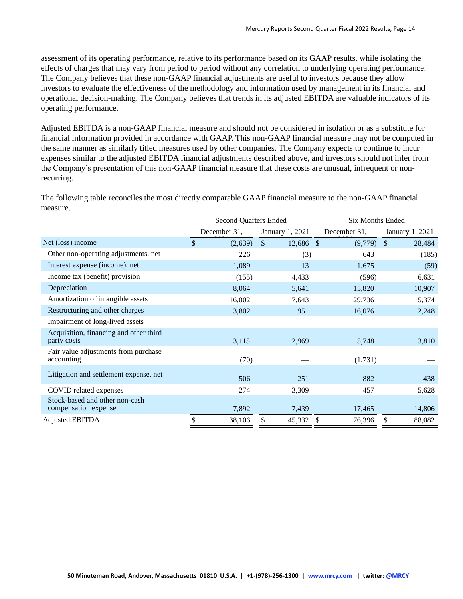assessment of its operating performance, relative to its performance based on its GAAP results, while isolating the effects of charges that may vary from period to period without any correlation to underlying operating performance. The Company believes that these non-GAAP financial adjustments are useful to investors because they allow investors to evaluate the effectiveness of the methodology and information used by management in its financial and operational decision-making. The Company believes that trends in its adjusted EBITDA are valuable indicators of its operating performance.

Adjusted EBITDA is a non-GAAP financial measure and should not be considered in isolation or as a substitute for financial information provided in accordance with GAAP. This non-GAAP financial measure may not be computed in the same manner as similarly titled measures used by other companies. The Company expects to continue to incur expenses similar to the adjusted EBITDA financial adjustments described above, and investors should not infer from the Company's presentation of this non-GAAP financial measure that these costs are unusual, infrequent or nonrecurring.

The following table reconciles the most directly comparable GAAP financial measure to the non-GAAP financial measure.

|                                                        |                           | <b>Second Quarters Ended</b> |                 |           | <b>Six Months Ended</b> |               |                 |  |  |  |  |
|--------------------------------------------------------|---------------------------|------------------------------|-----------------|-----------|-------------------------|---------------|-----------------|--|--|--|--|
|                                                        |                           | December 31,                 | January 1, 2021 |           | December 31,            |               | January 1, 2021 |  |  |  |  |
| Net (loss) income                                      | $\boldsymbol{\mathsf{S}}$ | (2,639)                      | $\mathcal{S}$   | 12,686 \$ | (9,779)                 | $\mathcal{S}$ | 28,484          |  |  |  |  |
| Other non-operating adjustments, net                   |                           | 226                          |                 | (3)       | 643                     |               | (185)           |  |  |  |  |
| Interest expense (income), net                         |                           | 1,089                        |                 | 13        | 1,675                   |               | (59)            |  |  |  |  |
| Income tax (benefit) provision                         |                           | (155)                        | 4,433           |           | (596)                   |               | 6,631           |  |  |  |  |
| Depreciation                                           |                           | 8,064                        | 5,641           |           | 15,820                  |               | 10,907          |  |  |  |  |
| Amortization of intangible assets                      |                           | 16,002                       | 7,643           |           | 29,736                  |               | 15,374          |  |  |  |  |
| Restructuring and other charges                        |                           | 3,802                        |                 | 951       | 16,076                  |               | 2,248           |  |  |  |  |
| Impairment of long-lived assets                        |                           |                              |                 |           |                         |               |                 |  |  |  |  |
| Acquisition, financing and other third<br>party costs  |                           | 3,115                        | 2,969           |           | 5,748                   |               | 3,810           |  |  |  |  |
| Fair value adjustments from purchase<br>accounting     |                           | (70)                         |                 |           | (1,731)                 |               |                 |  |  |  |  |
| Litigation and settlement expense, net                 |                           | 506                          |                 | 251       | 882                     |               | 438             |  |  |  |  |
| COVID related expenses                                 |                           | 274                          | 3,309           |           | 457                     |               | 5,628           |  |  |  |  |
| Stock-based and other non-cash<br>compensation expense |                           | 7,892                        | 7,439           |           | 17,465                  |               | 14,806          |  |  |  |  |
| <b>Adjusted EBITDA</b>                                 | \$                        | 38,106                       | \$<br>45,332    |           | 76,396                  |               | 88,082          |  |  |  |  |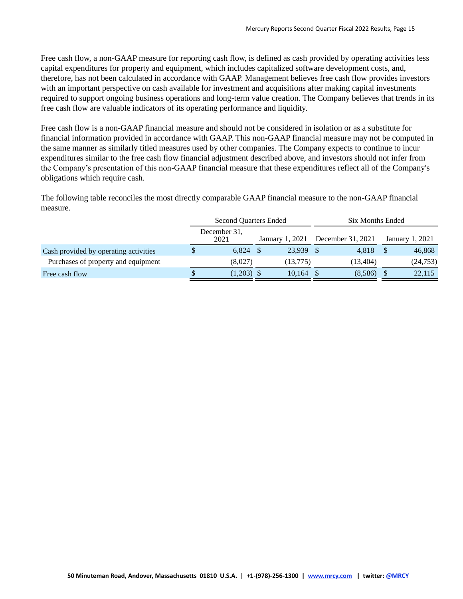Free cash flow, a non-GAAP measure for reporting cash flow, is defined as cash provided by operating activities less capital expenditures for property and equipment, which includes capitalized software development costs, and, therefore, has not been calculated in accordance with GAAP. Management believes free cash flow provides investors with an important perspective on cash available for investment and acquisitions after making capital investments required to support ongoing business operations and long-term value creation. The Company believes that trends in its free cash flow are valuable indicators of its operating performance and liquidity.

Free cash flow is a non-GAAP financial measure and should not be considered in isolation or as a substitute for financial information provided in accordance with GAAP. This non-GAAP financial measure may not be computed in the same manner as similarly titled measures used by other companies. The Company expects to continue to incur expenditures similar to the free cash flow financial adjustment described above, and investors should not infer from the Company's presentation of this non-GAAP financial measure that these expenditures reflect all of the Company's obligations which require cash.

The following table reconciles the most directly comparable GAAP financial measure to the non-GAAP financial measure.

|                                       |   | <b>Second Quarters Ended</b> |  |                 | Six Months Ended |                   |  |                 |  |  |
|---------------------------------------|---|------------------------------|--|-----------------|------------------|-------------------|--|-----------------|--|--|
|                                       |   | December 31.<br>2021         |  | January 1, 2021 |                  | December 31, 2021 |  | January 1, 2021 |  |  |
| Cash provided by operating activities |   | 6.824                        |  | 23.939          |                  | 4.818             |  | 46,868          |  |  |
| Purchases of property and equipment   |   | (8.027)                      |  | (13, 775)       |                  | (13.404)          |  | (24, 753)       |  |  |
| Free cash flow                        | S | $(1,203)$ \$                 |  | 10.164          |                  | (8,586)           |  | 22,115          |  |  |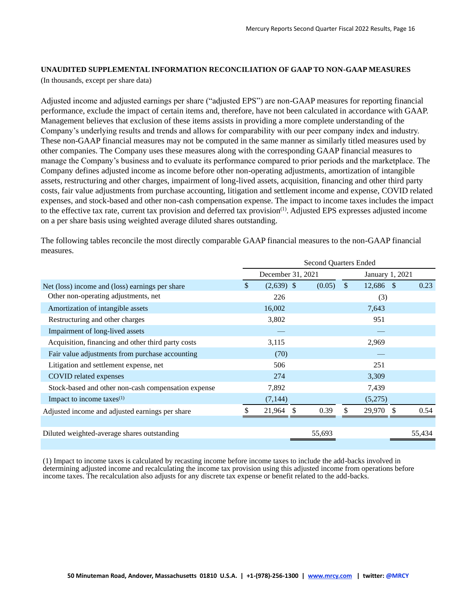#### **UNAUDITED SUPPLEMENTAL INFORMATION RECONCILIATION OF GAAP TO NON-GAAP MEASURES**

(In thousands, except per share data)

Adjusted income and adjusted earnings per share ("adjusted EPS") are non-GAAP measures for reporting financial performance, exclude the impact of certain items and, therefore, have not been calculated in accordance with GAAP. Management believes that exclusion of these items assists in providing a more complete understanding of the Company's underlying results and trends and allows for comparability with our peer company index and industry. These non-GAAP financial measures may not be computed in the same manner as similarly titled measures used by other companies. The Company uses these measures along with the corresponding GAAP financial measures to manage the Company's business and to evaluate its performance compared to prior periods and the marketplace. The Company defines adjusted income as income before other non-operating adjustments, amortization of intangible assets, restructuring and other charges, impairment of long-lived assets, acquisition, financing and other third party costs, fair value adjustments from purchase accounting, litigation and settlement income and expense, COVID related expenses, and stock-based and other non-cash compensation expense. The impact to income taxes includes the impact to the effective tax rate, current tax provision and deferred tax provision<sup>(1)</sup>. Adjusted EPS expresses adjusted income on a per share basis using weighted average diluted shares outstanding.

|                                                     | <b>Second Quarters Ended</b> |                   |  |        |                 |             |  |        |  |  |  |  |
|-----------------------------------------------------|------------------------------|-------------------|--|--------|-----------------|-------------|--|--------|--|--|--|--|
|                                                     |                              | December 31, 2021 |  |        | January 1, 2021 |             |  |        |  |  |  |  |
| Net (loss) income and (loss) earnings per share     | \$                           | $(2,639)$ \$      |  | (0.05) | <sup>\$</sup>   | $12,686$ \$ |  | 0.23   |  |  |  |  |
| Other non-operating adjustments, net                |                              |                   |  |        |                 |             |  |        |  |  |  |  |
| Amortization of intangible assets                   |                              | 16,002            |  |        |                 | 7,643       |  |        |  |  |  |  |
| Restructuring and other charges                     |                              | 3,802<br>951      |  |        |                 |             |  |        |  |  |  |  |
| Impairment of long-lived assets                     |                              |                   |  |        |                 |             |  |        |  |  |  |  |
| Acquisition, financing and other third party costs  | 3,115<br>2,969               |                   |  |        |                 |             |  |        |  |  |  |  |
| Fair value adjustments from purchase accounting     |                              | (70)              |  |        |                 |             |  |        |  |  |  |  |
| Litigation and settlement expense, net              |                              | 506               |  |        | 251             |             |  |        |  |  |  |  |
| COVID related expenses                              |                              | 274               |  |        |                 | 3,309       |  |        |  |  |  |  |
| Stock-based and other non-cash compensation expense |                              | 7,892             |  |        |                 | 7,439       |  |        |  |  |  |  |
| Impact to income taxes $(1)$                        |                              | (7, 144)          |  |        |                 | (5,275)     |  |        |  |  |  |  |
| Adjusted income and adjusted earnings per share     |                              | 21,964 \$         |  | 0.39   | \$              | 29,970 \$   |  | 0.54   |  |  |  |  |
|                                                     |                              |                   |  |        |                 |             |  |        |  |  |  |  |
| Diluted weighted-average shares outstanding         |                              |                   |  | 55.693 |                 |             |  | 55,434 |  |  |  |  |
|                                                     |                              |                   |  |        |                 |             |  |        |  |  |  |  |

The following tables reconcile the most directly comparable GAAP financial measures to the non-GAAP financial measures.

(1) Impact to income taxes is calculated by recasting income before income taxes to include the add-backs involved in determining adjusted income and recalculating the income tax provision using this adjusted income from operations before income taxes. The recalculation also adjusts for any discrete tax expense or benefit related to the add-backs.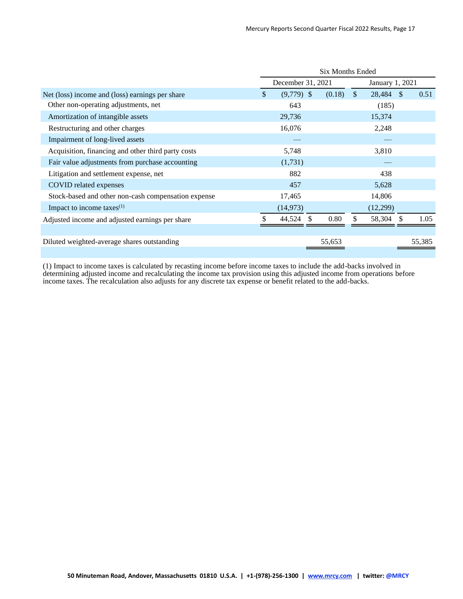|                                                     | <b>Six Months Ended</b> |                   |        |               |                 |  |        |  |  |  |
|-----------------------------------------------------|-------------------------|-------------------|--------|---------------|-----------------|--|--------|--|--|--|
|                                                     |                         | December 31, 2021 |        |               | January 1, 2021 |  |        |  |  |  |
| Net (loss) income and (loss) earnings per share     | \$                      | $(9,779)$ \$      | (0.18) | $\mathcal{S}$ | 28,484 \$       |  | 0.51   |  |  |  |
| Other non-operating adjustments, net                | 643                     |                   |        |               |                 |  |        |  |  |  |
| Amortization of intangible assets                   | 29,736                  |                   |        |               | 15,374          |  |        |  |  |  |
| Restructuring and other charges                     | 16,076                  |                   |        |               | 2,248           |  |        |  |  |  |
| Impairment of long-lived assets                     |                         |                   |        |               |                 |  |        |  |  |  |
| Acquisition, financing and other third party costs  | 5,748                   | 3,810             |        |               |                 |  |        |  |  |  |
| Fair value adjustments from purchase accounting     | (1,731)                 |                   |        |               |                 |  |        |  |  |  |
| Litigation and settlement expense, net              |                         | 882               |        |               | 438             |  |        |  |  |  |
| <b>COVID</b> related expenses                       |                         | 457               |        |               | 5,628           |  |        |  |  |  |
| Stock-based and other non-cash compensation expense | 17,465                  |                   |        |               | 14,806          |  |        |  |  |  |
| Impact to income taxes $(1)$                        | (14, 973)               |                   |        |               | (12,299)        |  |        |  |  |  |
| Adjusted income and adjusted earnings per share     | 44,524                  |                   | 0.80   |               | 58,304          |  | 1.05   |  |  |  |
|                                                     |                         |                   |        |               |                 |  |        |  |  |  |
| Diluted weighted-average shares outstanding         |                         |                   | 55.653 |               |                 |  | 55,385 |  |  |  |
|                                                     |                         |                   |        |               |                 |  |        |  |  |  |

(1) Impact to income taxes is calculated by recasting income before income taxes to include the add-backs involved in determining adjusted income and recalculating the income tax provision using this adjusted income from operations before income taxes. The recalculation also adjusts for any discrete tax expense or benefit related to the add-backs.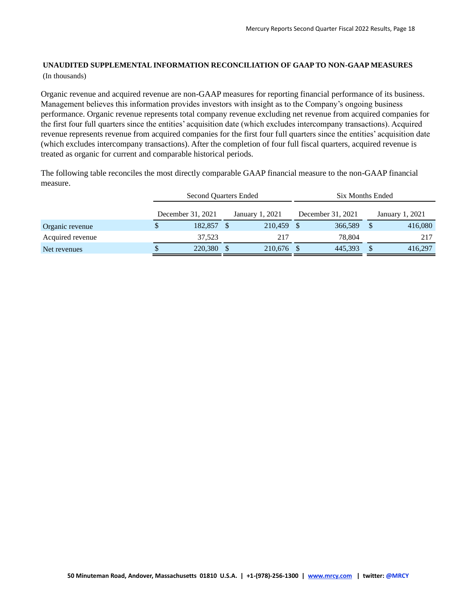# **UNAUDITED SUPPLEMENTAL INFORMATION RECONCILIATION OF GAAP TO NON-GAAP MEASURES**

(In thousands)

Organic revenue and acquired revenue are non-GAAP measures for reporting financial performance of its business. Management believes this information provides investors with insight as to the Company's ongoing business performance. Organic revenue represents total company revenue excluding net revenue from acquired companies for the first four full quarters since the entities' acquisition date (which excludes intercompany transactions). Acquired revenue represents revenue from acquired companies for the first four full quarters since the entities' acquisition date (which excludes intercompany transactions). After the completion of four full fiscal quarters, acquired revenue is treated as organic for current and comparable historical periods.

The following table reconciles the most directly comparable GAAP financial measure to the non-GAAP financial measure.

|                  |                   | <b>Second Quarters Ended</b> |                 |         | Six Months Ended |                   |  |                 |  |  |  |
|------------------|-------------------|------------------------------|-----------------|---------|------------------|-------------------|--|-----------------|--|--|--|
|                  | December 31, 2021 |                              | January 1, 2021 |         |                  | December 31, 2021 |  | January 1, 2021 |  |  |  |
| Organic revenue  |                   | 182,857                      |                 | 210,459 |                  | 366,589           |  | 416,080         |  |  |  |
| Acquired revenue |                   | 37.523                       |                 | 217     |                  | 78,804            |  | 217             |  |  |  |
| Net revenues     |                   | 220,380                      |                 | 210,676 |                  | 445,393           |  | 416,297         |  |  |  |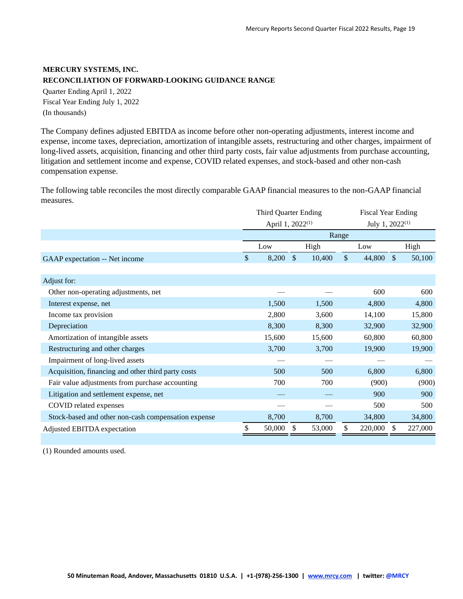## **MERCURY SYSTEMS, INC. RECONCILIATION OF FORWARD-LOOKING GUIDANCE RANGE**

Quarter Ending April 1, 2022 Fiscal Year Ending July 1, 2022 (In thousands)

The Company defines adjusted EBITDA as income before other non-operating adjustments, interest income and expense, income taxes, depreciation, amortization of intangible assets, restructuring and other charges, impairment of long-lived assets, acquisition, financing and other third party costs, fair value adjustments from purchase accounting, litigation and settlement income and expense, COVID related expenses, and stock-based and other non-cash compensation expense.

The following table reconciles the most directly comparable GAAP financial measures to the non-GAAP financial measures.

|                                                     |             | Third Quarter Ending         | <b>Fiscal Year Ending</b>   |         |         |         |  |  |
|-----------------------------------------------------|-------------|------------------------------|-----------------------------|---------|---------|---------|--|--|
|                                                     |             | April 1, 2022 <sup>(1)</sup> | July 1, 2022 <sup>(1)</sup> |         |         |         |  |  |
|                                                     |             |                              | Range                       |         |         |         |  |  |
|                                                     | Low         | High                         |                             | Low     |         |         |  |  |
| GAAP expectation -- Net income                      | \$<br>8,200 | $\mathcal{S}$<br>10,400      | $\sqrt{\ }$                 | 44,800  | $\sqrt$ | 50,100  |  |  |
|                                                     |             |                              |                             |         |         |         |  |  |
| Adjust for:                                         |             |                              |                             |         |         |         |  |  |
| Other non-operating adjustments, net                |             |                              |                             | 600     |         | 600     |  |  |
| Interest expense, net                               | 1,500       | 1,500                        |                             | 4,800   |         | 4,800   |  |  |
| Income tax provision                                | 2,800       | 3,600                        |                             | 14,100  |         | 15,800  |  |  |
| Depreciation                                        | 8,300       | 8,300                        |                             | 32,900  |         | 32,900  |  |  |
| Amortization of intangible assets                   | 15,600      | 15,600                       |                             | 60,800  |         | 60,800  |  |  |
| Restructuring and other charges                     | 3,700       | 3,700                        |                             | 19,900  |         | 19,900  |  |  |
| Impairment of long-lived assets                     |             |                              |                             |         |         |         |  |  |
| Acquisition, financing and other third party costs  | 500         | 500                          |                             | 6,800   |         | 6,800   |  |  |
| Fair value adjustments from purchase accounting     | 700         | 700                          |                             | (900)   |         | (900)   |  |  |
| Litigation and settlement expense, net              |             |                              |                             | 900     |         | 900     |  |  |
| COVID related expenses                              |             |                              |                             | 500     |         | 500     |  |  |
| Stock-based and other non-cash compensation expense | 8,700       | 8,700                        |                             | 34,800  |         | 34,800  |  |  |
| Adjusted EBITDA expectation                         | 50,000      | 53,000                       |                             | 220,000 |         | 227,000 |  |  |
|                                                     |             |                              |                             |         |         |         |  |  |

(1) Rounded amounts used.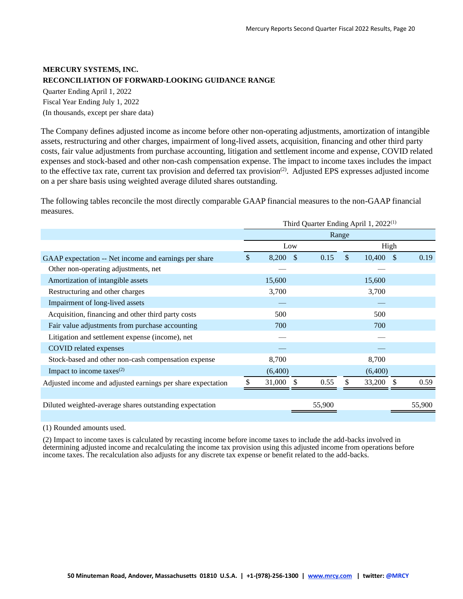## **MERCURY SYSTEMS, INC. RECONCILIATION OF FORWARD-LOOKING GUIDANCE RANGE**

Quarter Ending April 1, 2022 Fiscal Year Ending July 1, 2022 (In thousands, except per share data)

The Company defines adjusted income as income before other non-operating adjustments, amortization of intangible assets, restructuring and other charges, impairment of long-lived assets, acquisition, financing and other third party costs, fair value adjustments from purchase accounting, litigation and settlement income and expense, COVID related expenses and stock-based and other non-cash compensation expense. The impact to income taxes includes the impact to the effective tax rate, current tax provision and deferred tax provision<sup>(2)</sup>. Adjusted EPS expresses adjusted income on a per share basis using weighted average diluted shares outstanding.

The following tables reconcile the most directly comparable GAAP financial measures to the non-GAAP financial measures.

|                                                             | Third Quarter Ending April 1, 2022 <sup>(1)</sup> |            |     |        |               |             |      |        |  |  |  |  |  |
|-------------------------------------------------------------|---------------------------------------------------|------------|-----|--------|---------------|-------------|------|--------|--|--|--|--|--|
|                                                             |                                                   |            |     | Range  |               |             |      |        |  |  |  |  |  |
|                                                             |                                                   |            | Low |        |               |             | High |        |  |  |  |  |  |
| GAAP expectation -- Net income and earnings per share       | \$                                                | $8,200$ \$ |     | 0.15   | $\mathcal{S}$ | $10,400$ \$ |      | 0.19   |  |  |  |  |  |
| Other non-operating adjustments, net                        |                                                   |            |     |        |               |             |      |        |  |  |  |  |  |
| Amortization of intangible assets                           |                                                   | 15,600     |     |        |               | 15,600      |      |        |  |  |  |  |  |
| Restructuring and other charges                             |                                                   | 3,700      |     |        |               | 3,700       |      |        |  |  |  |  |  |
| Impairment of long-lived assets                             |                                                   |            |     |        |               |             |      |        |  |  |  |  |  |
| Acquisition, financing and other third party costs          |                                                   | 500        |     |        |               | 500         |      |        |  |  |  |  |  |
| Fair value adjustments from purchase accounting             |                                                   | 700        |     |        |               | 700         |      |        |  |  |  |  |  |
| Litigation and settlement expense (income), net             |                                                   |            |     |        |               |             |      |        |  |  |  |  |  |
| COVID related expenses                                      |                                                   |            |     |        |               |             |      |        |  |  |  |  |  |
| Stock-based and other non-cash compensation expense         |                                                   | 8,700      |     |        |               | 8,700       |      |        |  |  |  |  |  |
| Impact to income taxes $(2)$                                |                                                   | (6,400)    |     |        |               | (6,400)     |      |        |  |  |  |  |  |
| Adjusted income and adjusted earnings per share expectation |                                                   | 31,000     | -\$ | 0.55   | \$            | 33,200      |      | 0.59   |  |  |  |  |  |
|                                                             |                                                   |            |     |        |               |             |      |        |  |  |  |  |  |
| Diluted weighted-average shares outstanding expectation     |                                                   |            |     | 55,900 |               |             |      | 55,900 |  |  |  |  |  |
|                                                             |                                                   |            |     |        |               |             |      |        |  |  |  |  |  |

(1) Rounded amounts used.

(2) Impact to income taxes is calculated by recasting income before income taxes to include the add-backs involved in determining adjusted income and recalculating the income tax provision using this adjusted income from operations before income taxes. The recalculation also adjusts for any discrete tax expense or benefit related to the add-backs.